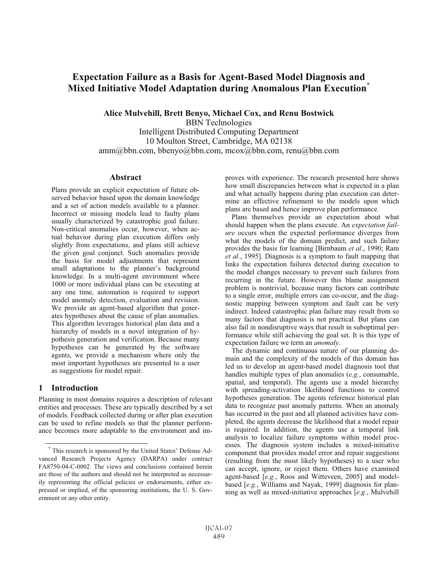# **Expectation Failure as a Basis for Agent-Based Model Diagnosis and Mixed Initiative Model Adaptation during Anomalous Plan Execution\***

**Alice Mulvehill, Brett Benyo, Michael Cox, and Renu Bostwick** 

BBN Technologies Intelligent Distributed Computing Department 10 Moulton Street, Cambridge, MA 02138 amm@bbn.com, bbenyo@bbn.com, mcox@bbn.com, renu@bbn.com

#### **Abstract**

Plans provide an explicit expectation of future observed behavior based upon the domain knowledge and a set of action models available to a planner. Incorrect or missing models lead to faulty plans usually characterized by catastrophic goal failure. Non-critical anomalies occur, however, when actual behavior during plan execution differs only slightly from expectations, and plans still achieve the given goal conjunct. Such anomalies provide the basis for model adjustments that represent small adaptations to the planner's background knowledge. In a multi-agent environment where 1000 or more individual plans can be executing at any one time, automation is required to support model anomaly detection, evaluation and revision. We provide an agent-based algorithm that generates hypotheses about the cause of plan anomalies. This algorithm leverages historical plan data and a hierarchy of models in a novel integration of hypothesis generation and verification. Because many hypotheses can be generated by the software agents, we provide a mechanism where only the most important hypotheses are presented to a user as suggestions for model repair.

#### **1 Introduction**

-

Planning in most domains requires a description of relevant entities and processes. These are typically described by a set of models. Feedback collected during or after plan execution can be used to refine models so that the planner performance becomes more adaptable to the environment and improves with experience. The research presented here shows how small discrepancies between what is expected in a plan and what actually happens during plan execution can determine an effective refinement to the models upon which plans are based and hence improve plan performance.

Plans themselves provide an expectation about what should happen when the plans execute. An *expectation failure* occurs when the expected performance diverges from what the models of the domain predict, and such failure provides the basis for learning [Birnbaum *et al*., 1990; Ram *et al.*, 1995]. Diagnosis is a symptom to fault mapping that links the expectation failures detected during execution to the model changes necessary to prevent such failures from recurring in the future. However this blame assignment problem is nontrivial, because many factors can contribute to a single error, multiple errors can co-occur, and the diagnostic mapping between symptom and fault can be very indirect. Indeed catastrophic plan failure may result from so many factors that diagnosis is not practical. But plans can also fail in nondisruptive ways that result in suboptimal performance while still achieving the goal set. It is this type of expectation failure we term an *anomaly*.

The dynamic and continuous nature of our planning domain and the complexity of the models of this domain has led us to develop an agent-based model diagnosis tool that handles multiple types of plan anomalies (*e.g.*, consumable, spatial, and temporal). The agents use a model hierarchy with spreading-activation likelihood functions to control hypotheses generation. The agents reference historical plan data to recognize past anomaly patterns. When an anomaly has occurred in the past and all planned activities have completed, the agents decrease the likelihood that a model repair is required. In addition, the agents use a temporal link analysis to localize failure symptoms within model processes. The diagnosis system includes a mixed-initiative component that provides model error and repair suggestions (resulting from the most likely hypotheses) to a user who can accept, ignore, or reject them. Others have examined agent-based [*e.g.*, Roos and Witteveen, 2005] and modelbased [*e.g.*, Williams and Nayak, 1999] diagnosis for planning as well as mixed-initiative approaches [*e.g.*, Mulvehill

<sup>\*</sup> This research is sponsored by the United States' Defense Advanced Research Projects Agency (DARPA) under contract FA8750-04-C-0002. The views and conclusions contained herein are those of the authors and should not be interpreted as necessarily representing the official policies or endorsements, either expressed or implied, of the sponsoring institutions, the U. S. Government or any other entity.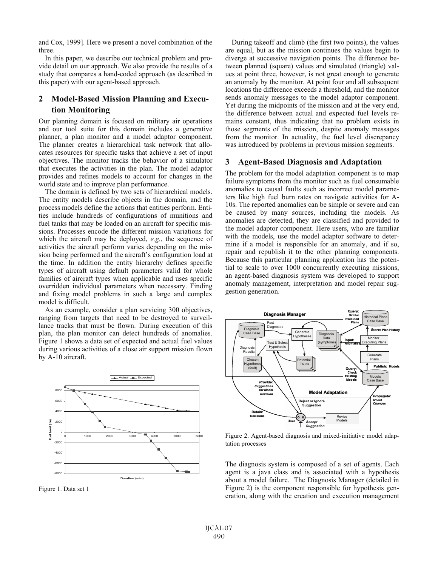and Cox, 1999]. Here we present a novel combination of the three.

In this paper, we describe our technical problem and provide detail on our approach. We also provide the results of a study that compares a hand-coded approach (as described in this paper) with our agent-based approach.

## **2 Model-Based Mission Planning and Execution Monitoring**

Our planning domain is focused on military air operations and our tool suite for this domain includes a generative planner, a plan monitor and a model adaptor component. The planner creates a hierarchical task network that allocates resources for specific tasks that achieve a set of input objectives. The monitor tracks the behavior of a simulator that executes the activities in the plan. The model adaptor provides and refines models to account for changes in the world state and to improve plan performance.

The domain is defined by two sets of hierarchical models. The entity models describe objects in the domain, and the process models define the actions that entities perform. Entities include hundreds of configurations of munitions and fuel tanks that may be loaded on an aircraft for specific missions. Processes encode the different mission variations for which the aircraft may be deployed, *e.g.*, the sequence of activities the aircraft perform varies depending on the mission being performed and the aircraft's configuration load at the time. In addition the entity hierarchy defines specific types of aircraft using default parameters valid for whole families of aircraft types when applicable and uses specific overridden individual parameters when necessary. Finding and fixing model problems in such a large and complex model is difficult.

As an example, consider a plan servicing 300 objectives, ranging from targets that need to be destroyed to surveillance tracks that must be flown. During execution of this plan, the plan monitor can detect hundreds of anomalies. Figure 1 shows a data set of expected and actual fuel values during various activities of a close air support mission flown by A-10 aircraft.



Figure 1. Data set 1

During takeoff and climb (the first two points), the values are equal, but as the mission continues the values begin to diverge at successive navigation points. The difference between planned (square) values and simulated (triangle) values at point three, however, is not great enough to generate an anomaly by the monitor. At point four and all subsequent locations the difference exceeds a threshold, and the monitor sends anomaly messages to the model adaptor component. Yet during the midpoints of the mission and at the very end, the difference between actual and expected fuel levels remains constant, thus indicating that no problem exists in those segments of the mission, despite anomaly messages from the monitor. In actuality, the fuel level discrepancy was introduced by problems in previous mission segments.

#### **3 Agent-Based Diagnosis and Adaptation**

The problem for the model adaptation component is to map failure symptoms from the monitor such as fuel consumable anomalies to causal faults such as incorrect model parameters like high fuel burn rates on navigate activities for A-10s. The reported anomalies can be simple or severe and can be caused by many sources, including the models. As anomalies are detected, they are classified and provided to the model adaptor component. Here users, who are familiar with the models, use the model adaptor software to determine if a model is responsible for an anomaly, and if so, repair and republish it to the other planning components. Because this particular planning application has the potential to scale to over 1000 concurrently executing missions, an agent-based diagnosis system was developed to support anomaly management, interpretation and model repair suggestion generation.



Figure 2. Agent-based diagnosis and mixed-initiative model adaptation processes

The diagnosis system is composed of a set of agents. Each agent is a java class and is associated with a hypothesis about a model failure. The Diagnosis Manager (detailed in Figure 2) is the component responsible for hypothesis generation, along with the creation and execution management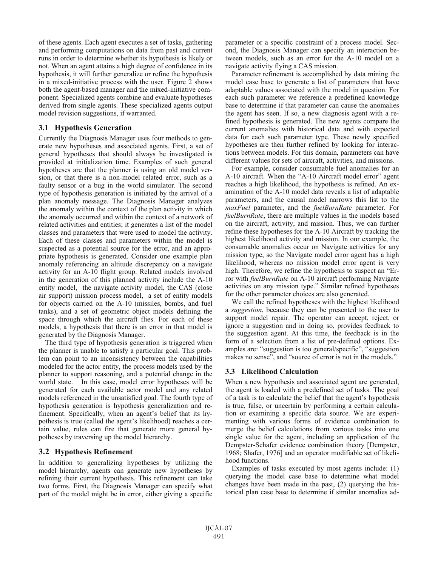of these agents. Each agent executes a set of tasks, gathering and performing computations on data from past and current runs in order to determine whether its hypothesis is likely or not. When an agent attains a high degree of confidence in its hypothesis, it will further generalize or refine the hypothesis in a mixed-initiative process with the user. Figure 2 shows both the agent-based manager and the mixed-initiative component. Specialized agents combine and evaluate hypotheses derived from single agents. These specialized agents output model revision suggestions, if warranted.

## **3.1 Hypothesis Generation**

Currently the Diagnosis Manager uses four methods to generate new hypotheses and associated agents. First, a set of general hypotheses that should always be investigated is provided at initialization time. Examples of such general hypotheses are that the planner is using an old model version, or that there is a non-model related error, such as a faulty sensor or a bug in the world simulator. The second type of hypothesis generation is initiated by the arrival of a plan anomaly message. The Diagnosis Manager analyzes the anomaly within the context of the plan activity in which the anomaly occurred and within the context of a network of related activities and entities; it generates a list of the model classes and parameters that were used to model the activity. Each of these classes and parameters within the model is suspected as a potential source for the error, and an appropriate hypothesis is generated. Consider one example plan anomaly referencing an altitude discrepancy on a navigate activity for an A-10 flight group. Related models involved in the generation of this planned activity include the A-10 entity model, the navigate activity model, the CAS (close air support) mission process model, a set of entity models for objects carried on the A-10 (missiles, bombs, and fuel tanks), and a set of geometric object models defining the space through which the aircraft flies. For each of these models, a hypothesis that there is an error in that model is generated by the Diagnosis Manager.

The third type of hypothesis generation is triggered when the planner is unable to satisfy a particular goal. This problem can point to an inconsistency between the capabilities modeled for the actor entity, the process models used by the planner to support reasoning, and a potential change in the world state. In this case, model error hypotheses will be generated for each available actor model and any related models referenced in the unsatisfied goal. The fourth type of hypothesis generation is hypothesis generalization and refinement. Specifically, when an agent's belief that its hypothesis is true (called the agent's likelihood) reaches a certain value, rules can fire that generate more general hypotheses by traversing up the model hierarchy.

## **3.2 Hypothesis Refinement**

In addition to generalizing hypotheses by utilizing the model hierarchy, agents can generate new hypotheses by refining their current hypothesis. This refinement can take two forms. First, the Diagnosis Manager can specify what part of the model might be in error, either giving a specific

parameter or a specific constraint of a process model. Second, the Diagnosis Manager can specify an interaction between models, such as an error for the A-10 model on a navigate activity flying a CAS mission.

Parameter refinement is accomplished by data mining the model case base to generate a list of parameters that have adaptable values associated with the model in question. For each such parameter we reference a predefined knowledge base to determine if that parameter can cause the anomalies the agent has seen. If so, a new diagnosis agent with a refined hypothesis is generated. The new agents compare the current anomalies with historical data and with expected data for each such parameter type. These newly specified hypotheses are then further refined by looking for interactions between models. For this domain, parameters can have different values for sets of aircraft, activities, and missions.

For example, consider consumable fuel anomalies for an A-10 aircraft. When the "A-10 Aircraft model error" agent reaches a high likelihood, the hypothesis is refined. An examination of the A-10 model data reveals a list of adaptable parameters, and the causal model narrows this list to the *maxFuel* parameter, and the *fuelBurnRate* parameter. For *fuelBurnRate*, there are multiple values in the models based on the aircraft, activity, and mission. Thus, we can further refine these hypotheses for the A-10 Aircraft by tracking the highest likelihood activity and mission. In our example, the consumable anomalies occur on Navigate activities for any mission type, so the Navigate model error agent has a high likelihood, whereas no mission model error agent is very high. Therefore, we refine the hypothesis to suspect an "Error with *fuelBurnRate* on A-10 aircraft performing Navigate activities on any mission type." Similar refined hypotheses for the other parameter choices are also generated.

We call the refined hypotheses with the highest likelihood a *suggestion*, because they can be presented to the user to support model repair. The operator can accept, reject, or ignore a suggestion and in doing so, provides feedback to the suggestion agent. At this time, the feedback is in the form of a selection from a list of pre-defined options. Examples are: "suggestion is too general/specific", "suggestion makes no sense", and "source of error is not in the models."

## **3.3 Likelihood Calculation**

When a new hypothesis and associated agent are generated, the agent is loaded with a predefined set of tasks. The goal of a task is to calculate the belief that the agent's hypothesis is true, false, or uncertain by performing a certain calculation or examining a specific data source. We are experimenting with various forms of evidence combination to merge the belief calculations from various tasks into one single value for the agent, including an application of the Dempster-Schafer evidence combination theory [Dempster, 1968; Shafer, 1976] and an operator modifiable set of likelihood functions.

Examples of tasks executed by most agents include: (1) querying the model case base to determine what model changes have been made in the past, (2) querying the historical plan case base to determine if similar anomalies ad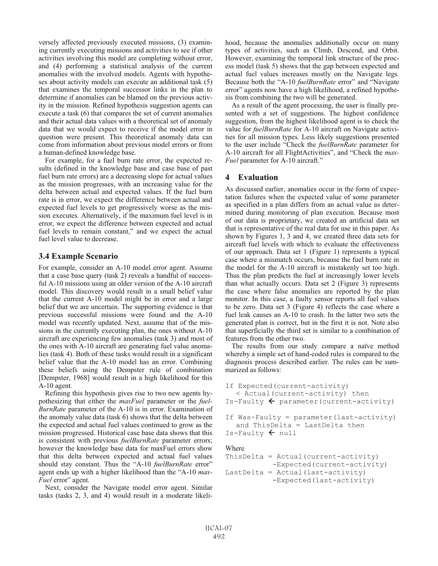versely affected previously executed missions, (3) examining currently executing missions and activities to see if other activities involving this model are completing without error, and (4) performing a statistical analysis of the current anomalies with the involved models. Agents with hypotheses about activity models can execute an additional task (5) that examines the temporal successor links in the plan to determine if anomalies can be blamed on the previous activity in the mission. Refined hypothesis suggestion agents can execute a task (6) that compares the set of current anomalies and their actual data values with a theoretical set of anomaly data that we would expect to receive if the model error in question were present. This theoretical anomaly data can come from information about previous model errors or from a human-defined knowledge base.

For example, for a fuel burn rate error, the expected results (defined in the knowledge base and case base of past fuel burn rate errors) are a decreasing slope for actual values as the mission progresses, with an increasing value for the delta between actual and expected values. If the fuel burn rate is in error, we expect the difference between actual and expected fuel levels to get progressively worse as the mission executes. Alternatively, if the maximum fuel level is in error, we expect the difference between expected and actual fuel levels to remain constant," and we expect the actual fuel level value to decrease.

## **3.4 Example Scenario**

For example, consider an A-10 model error agent. Assume that a case base query (task 2) reveals a handful of successful A-10 missions using an older version of the A-10 aircraft model. This discovery would result in a small belief value that the current A-10 model might be in error and a large belief that we are uncertain. The supporting evidence is that previous successful missions were found and the A-10 model was recently updated. Next, assume that of the missions in the currently executing plan, the ones without A-10 aircraft are experiencing few anomalies (task 3) and most of the ones with A-10 aircraft are generating fuel value anomalies (task 4). Both of these tasks would result in a significant belief value that the A-10 model has an error. Combining these beliefs using the Dempster rule of combination [Dempster, 1968] would result in a high likelihood for this A-10 agent.

Refining this hypothesis gives rise to two new agents hypothesizing that either the *maxFuel* parameter or the *fuel-BurnRate* parameter of the A-10 is in error. Examination of the anomaly value data (task 6) shows that the delta between the expected and actual fuel values continued to grow as the mission progressed. Historical case base data shows that this is consistent with previous *fuelBurnRate* parameter errors; however the knowledge base data for maxFuel errors show that this delta between expected and actual fuel values should stay constant. Thus the "A-10 *fuelBurnRate* error" agent ends up with a higher likelihood than the "A-10 *max-Fuel* error" agent.

Next, consider the Navigate model error agent. Similar tasks (tasks 2, 3, and 4) would result in a moderate likelihood, because the anomalies additionally occur on many types of activities, such as Climb, Descend, and Orbit. However, examining the temporal link structure of the process model (task 5) shows that the gap between expected and actual fuel values increases mostly on the Navigate legs. Because both the "A-10 *fuelBurnRate* error" and "Navigate error" agents now have a high likelihood, a refined hypothesis from combining the two will be generated.

As a result of the agent processing, the user is finally presented with a set of suggestions. The highest confidence suggestion, from the highest likelihood agent is to check the value for *fuelBurnRate* for A-10 aircraft on Navigate activities for all mission types. Less likely suggestions presented to the user include "Check the *fuelBurnRate* parameter for A-10 aircraft for all FlightActivities", and "Check the *max-Fuel* parameter for A-10 aircraft."

## **4 Evaluation**

As discussed earlier, anomalies occur in the form of expectation failures when the expected value of some parameter as specified in a plan differs from an actual value as determined during monitoring of plan execution. Because most of our data is proprietary, we created an artificial data set that is representative of the real data for use in this paper. As shown by Figures 1, 3 and 4, we created three data sets for aircraft fuel levels with which to evaluate the effectiveness of our approach. Data set 1 (Figure 1) represents a typical case where a mismatch occurs, because the fuel burn rate in the model for the A-10 aircraft is mistakenly set too high. Thus the plan predicts the fuel at increasingly lower levels than what actually occurs. Data set 2 (Figure 3) represents the case where false anomalies are reported by the plan monitor. In this case, a faulty sensor reports all fuel values to be zero. Data set 3 (Figure 4) reflects the case where a fuel leak causes an A-10 to crash. In the latter two sets the generated plan is correct, but in the first it is not. Note also that superficially the third set is similar to a combination of features from the other two.

The results from our study compare a naïve method whereby a simple set of hand-coded rules is compared to the diagnosis process described earlier. The rules can be summarized as follows:

```
If Expected(current-activity) 
   < Actual(current-activity) then 
Is-Faulty \leftarrow parameter (current-activity)
```

```
If Was-Faulty = parameter(last-activity) 
   and ThisDelta = LastDelta then 
Is-Faulty \leftarrow null
```
#### Where

```
ThisDelta = Actual(current-activity) 
            -Expected(current-activity) 
LastDelta = Actual(last-activity) 
            -Expected(last-activity)
```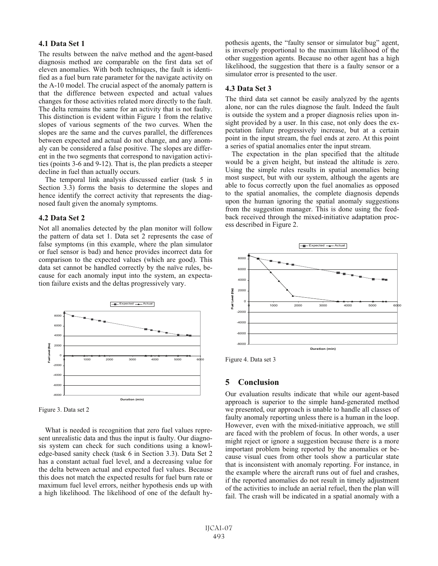#### **4.1 Data Set 1**

The results between the naïve method and the agent-based diagnosis method are comparable on the first data set of eleven anomalies. With both techniques, the fault is identified as a fuel burn rate parameter for the navigate activity on the A-10 model. The crucial aspect of the anomaly pattern is that the difference between expected and actual values changes for those activities related more directly to the fault. The delta remains the same for an activity that is not faulty. This distinction is evident within Figure 1 from the relative slopes of various segments of the two curves. When the slopes are the same and the curves parallel, the differences between expected and actual do not change, and any anomaly can be considered a false positive. The slopes are different in the two segments that correspond to navigation activities (points 3-6 and 9-12). That is, the plan predicts a steeper decline in fuel than actually occurs.

The temporal link analysis discussed earlier (task 5 in Section 3.3) forms the basis to determine the slopes and hence identify the correct activity that represents the diagnosed fault given the anomaly symptoms.

#### **4.2 Data Set 2**

Not all anomalies detected by the plan monitor will follow the pattern of data set 1. Data set 2 represents the case of false symptoms (in this example, where the plan simulator or fuel sensor is bad) and hence provides incorrect data for comparison to the expected values (which are good). This data set cannot be handled correctly by the naïve rules, because for each anomaly input into the system, an expectation failure exists and the deltas progressively vary.



Figure 3. Data set 2

What is needed is recognition that zero fuel values represent unrealistic data and thus the input is faulty. Our diagnosis system can check for such conditions using a knowledge-based sanity check (task 6 in Section 3.3). Data Set 2 has a constant actual fuel level, and a decreasing value for the delta between actual and expected fuel values. Because this does not match the expected results for fuel burn rate or maximum fuel level errors, neither hypothesis ends up with a high likelihood. The likelihood of one of the default hypothesis agents, the "faulty sensor or simulator bug" agent, is inversely proportional to the maximum likelihood of the other suggestion agents. Because no other agent has a high likelihood, the suggestion that there is a faulty sensor or a simulator error is presented to the user.

#### **4.3 Data Set 3**

The third data set cannot be easily analyzed by the agents alone, nor can the rules diagnose the fault. Indeed the fault is outside the system and a proper diagnosis relies upon insight provided by a user. In this case, not only does the expectation failure progressively increase, but at a certain point in the input stream, the fuel ends at zero. At this point a series of spatial anomalies enter the input stream.

The expectation in the plan specified that the altitude would be a given height, but instead the altitude is zero. Using the simple rules results in spatial anomalies being most suspect, but with our system, although the agents are able to focus correctly upon the fuel anomalies as opposed to the spatial anomalies, the complete diagnosis depends upon the human ignoring the spatial anomaly suggestions from the suggestion manager. This is done using the feedback received through the mixed-initiative adaptation process described in Figure 2.



Figure 4. Data set 3

#### **5 Conclusion**

Our evaluation results indicate that while our agent-based approach is superior to the simple hand-generated method we presented, our approach is unable to handle all classes of faulty anomaly reporting unless there is a human in the loop. However, even with the mixed-initiative approach, we still are faced with the problem of focus. In other words, a user might reject or ignore a suggestion because there is a more important problem being reported by the anomalies or because visual cues from other tools show a particular state that is inconsistent with anomaly reporting. For instance, in the example where the aircraft runs out of fuel and crashes, if the reported anomalies do not result in timely adjustment of the activities to include an aerial refuel, then the plan will fail. The crash will be indicated in a spatial anomaly with a